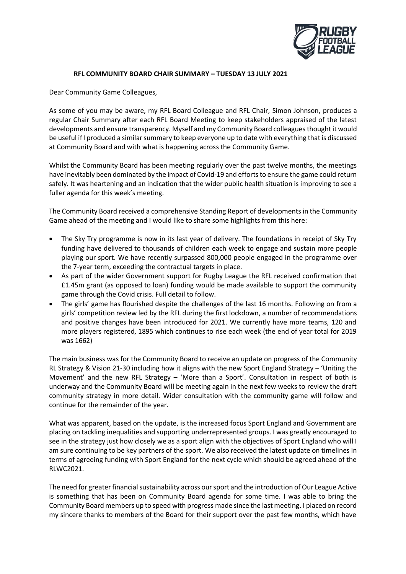

## **RFL COMMUNITY BOARD CHAIR SUMMARY – TUESDAY 13 JULY 2021**

Dear Community Game Colleagues,

As some of you may be aware, my RFL Board Colleague and RFL Chair, Simon Johnson, produces a regular Chair Summary after each RFL Board Meeting to keep stakeholders appraised of the latest developments and ensure transparency. Myself and my Community Board colleaguesthought it would be useful ifI produced a similar summary to keep everyone up to date with everything that is discussed at Community Board and with what is happening across the Community Game.

Whilst the Community Board has been meeting regularly over the past twelve months, the meetings have inevitably been dominated by the impact of Covid-19 and efforts to ensure the game could return safely. It was heartening and an indication that the wider public health situation is improving to see a fuller agenda for this week's meeting.

The Community Board received a comprehensive Standing Report of developments in the Community Game ahead of the meeting and I would like to share some highlights from this here:

- The Sky Try programme is now in its last year of delivery. The foundations in receipt of Sky Try funding have delivered to thousands of children each week to engage and sustain more people playing our sport. We have recently surpassed 800,000 people engaged in the programme over the 7-year term, exceeding the contractual targets in place.
- As part of the wider Government support for Rugby League the RFL received confirmation that £1.45m grant (as opposed to loan) funding would be made available to support the community game through the Covid crisis. Full detail to follow.
- The girls' game has flourished despite the challenges of the last 16 months. Following on from a girls' competition review led by the RFL during the first lockdown, a number of recommendations and positive changes have been introduced for 2021. We currently have more teams, 120 and more players registered, 1895 which continues to rise each week (the end of year total for 2019 was 1662)

The main business was for the Community Board to receive an update on progress of the Community RL Strategy & Vision 21-30 including how it aligns with the new Sport England Strategy – 'Uniting the Movement' and the new RFL Strategy – 'More than a Sport'. Consultation in respect of both is underway and the Community Board will be meeting again in the next few weeks to review the draft community strategy in more detail. Wider consultation with the community game will follow and continue for the remainder of the year.

What was apparent, based on the update, is the increased focus Sport England and Government are placing on tackling inequalities and supporting underrepresented groups. I was greatly encouraged to see in the strategy just how closely we as a sport align with the objectives of Sport England who will I am sure continuing to be key partners of the sport. We also received the latest update on timelines in terms of agreeing funding with Sport England for the next cycle which should be agreed ahead of the RLWC2021.

The need for greater financial sustainability across our sport and the introduction of Our League Active is something that has been on Community Board agenda for some time. I was able to bring the Community Board members up to speed with progress made since the last meeting. I placed on record my sincere thanks to members of the Board for their support over the past few months, which have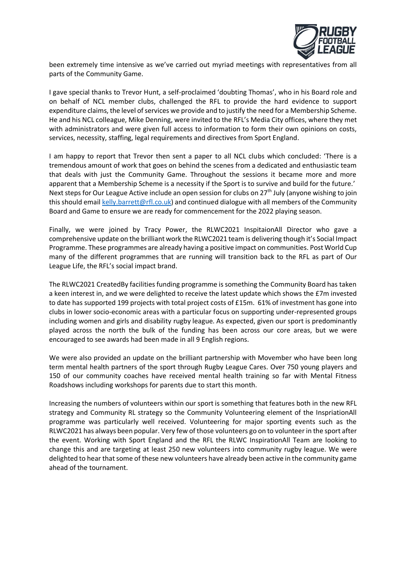

been extremely time intensive as we've carried out myriad meetings with representatives from all parts of the Community Game.

I gave special thanks to Trevor Hunt, a self-proclaimed 'doubting Thomas', who in his Board role and on behalf of NCL member clubs, challenged the RFL to provide the hard evidence to support expenditure claims, the level of services we provide and to justify the need for a Membership Scheme. He and his NCL colleague, Mike Denning, were invited to the RFL's Media City offices, where they met with administrators and were given full access to information to form their own opinions on costs, services, necessity, staffing, legal requirements and directives from Sport England.

I am happy to report that Trevor then sent a paper to all NCL clubs which concluded: 'There is a tremendous amount of work that goes on behind the scenes from a dedicated and enthusiastic team that deals with just the Community Game. Throughout the sessions it became more and more apparent that a Membership Scheme is a necessity if the Sport is to survive and build for the future.' Next steps for Our League Active include an open session for clubs on 27<sup>th</sup> July (anyone wishing to join this should emai[l kelly.barrett@rfl.co.uk\)](mailto:kelly.barrett@rfl.co.uk) and continued dialogue with all members of the Community Board and Game to ensure we are ready for commencement for the 2022 playing season.

Finally, we were joined by Tracy Power, the RLWC2021 InspitaionAll Director who gave a comprehensive update on the brilliant work the RLWC2021 team is delivering though it's Social Impact Programme. These programmes are already having a positive impact on communities. Post World Cup many of the different programmes that are running will transition back to the RFL as part of Our League Life, the RFL's social impact brand.

The RLWC2021 CreatedBy facilities funding programme is something the Community Board has taken a keen interest in, and we were delighted to receive the latest update which shows the £7m invested to date has supported 199 projects with total project costs of £15m. 61% of investment has gone into clubs in lower socio-economic areas with a particular focus on supporting under-represented groups including women and girls and disability rugby league. As expected, given our sport is predominantly played across the north the bulk of the funding has been across our core areas, but we were encouraged to see awards had been made in all 9 English regions.

We were also provided an update on the brilliant partnership with Movember who have been long term mental health partners of the sport through Rugby League Cares. Over 750 young players and 150 of our community coaches have received mental health training so far with Mental Fitness Roadshows including workshops for parents due to start this month.

Increasing the numbers of volunteers within our sport is something that features both in the new RFL strategy and Community RL strategy so the Community Volunteering element of the InspriationAll programme was particularly well received. Volunteering for major sporting events such as the RLWC2021 has always been popular. Very few of those volunteers go on to volunteer in the sport after the event. Working with Sport England and the RFL the RLWC InspirationAll Team are looking to change this and are targeting at least 250 new volunteers into community rugby league. We were delighted to hear that some of these new volunteers have already been active in the community game ahead of the tournament.